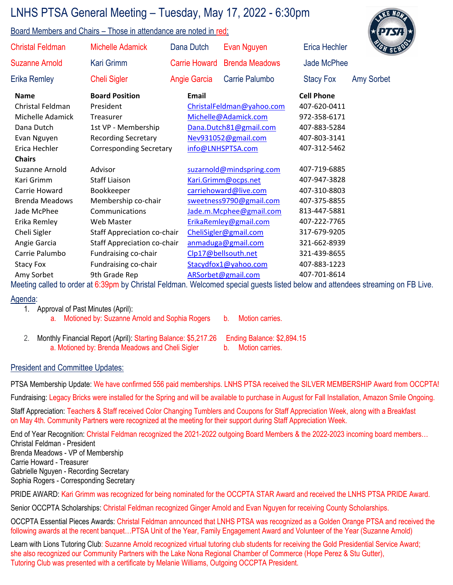## LNHS PTSA General Meeting – Tuesday, May 17, 2022 - 6:30pm

## Board Members and Chairs – Those in attendance are noted in red:



| <b>Christal Feldman</b> | <b>Michelle Adamick</b>            | Dana Dutch           | Evan Nguyen               | <b>Erica Hechler</b> | GH SCHO           |
|-------------------------|------------------------------------|----------------------|---------------------------|----------------------|-------------------|
| <b>Suzanne Arnold</b>   | Kari Grimm                         | <b>Carrie Howard</b> | <b>Brenda Meadows</b>     | Jade McPhee          |                   |
| <b>Erika Remley</b>     | <b>Cheli Sigler</b>                | Angie Garcia         | Carrie Palumbo            | <b>Stacy Fox</b>     | <b>Amy Sorbet</b> |
| <b>Name</b>             | <b>Board Position</b>              | Email                |                           | <b>Cell Phone</b>    |                   |
| Christal Feldman        | President                          |                      | ChristalFeldman@yahoo.com | 407-620-0411         |                   |
| Michelle Adamick        | <b>Treasurer</b>                   |                      | Michelle@Adamick.com      | 972-358-6171         |                   |
| Dana Dutch              | 1st VP - Membership                |                      | Dana.Dutch81@gmail.com    | 407-883-5284         |                   |
| Evan Nguyen             | <b>Recording Secretary</b>         |                      | Nev931052@gmail.com       | 407-803-3141         |                   |
| Erica Hechler           | <b>Corresponding Secretary</b>     |                      | info@LNHSPTSA.com         | 407-312-5462         |                   |
| <b>Chairs</b>           |                                    |                      |                           |                      |                   |
| Suzanne Arnold          | Advisor                            |                      | suzarnold@mindspring.com  | 407-719-6885         |                   |
| Kari Grimm              | <b>Staff Liaison</b>               |                      | Kari.Grimm@ocps.net       | 407-947-3828         |                   |
| Carrie Howard           | Bookkeeper                         |                      | carriehoward@live.com     | 407-310-8803         |                   |
| <b>Brenda Meadows</b>   | Membership co-chair                |                      | sweetness9790@gmail.com   | 407-375-8855         |                   |
| Jade McPhee             | Communications                     |                      | Jade.m.Mcphee@gmail.com   | 813-447-5881         |                   |
| Erika Remley            | Web Master                         |                      | ErikaRemley@gmail.com     | 407-222-7765         |                   |
| Cheli Sigler            | <b>Staff Appreciation co-chair</b> |                      | CheliSigler@gmail.com     | 317-679-9205         |                   |
| Angie Garcia            | <b>Staff Appreciation co-chair</b> |                      | anmaduga@gmail.com        | 321-662-8939         |                   |
| Carrie Palumbo          | Fundraising co-chair               |                      | Clp17@bellsouth.net       | 321-439-8655         |                   |
| Stacy Fox               | Fundraising co-chair               |                      | Stacydfox1@yahoo.com      | 407-883-1223         |                   |
| Amy Sorbet              | 9th Grade Rep                      |                      | ARSorbet@gmail.com        | 407-701-8614         |                   |
|                         | <b>CONTRACTOR</b>                  |                      |                           |                      |                   |

Meeting called to order at 6:39pm by Christal Feldman. Welcomed special guests listed below and attendees streaming on FB Live.

## <u>Agenda:</u>

| 1. Approval of Past Minutes (April): |  |
|--------------------------------------|--|
| $\blacksquare$                       |  |

- a. Motioned by: Suzanne Arnold and Sophia Rogers b. Motion carries.
- 2. Monthly Financial Report (April): Starting Balance: \$5,217.26 Ending Balance: \$2,894.15 a. Motioned by: Brenda Meadows and Cheli Sigler b. Motion carries.
- -

## President and Committee Updates:

PTSA Membership Update: We have confirmed 556 paid memberships. LNHS PTSA received the SILVER MEMBERSHIP Award from OCCPTA!

Fundraising: Legacy Bricks were installed for the Spring and will be available to purchase in August for Fall Installation, Amazon Smile Ongoing.

Staff Appreciation: Teachers & Staff received Color Changing Tumblers and Coupons for Staff Appreciation Week, along with a Breakfast on May 4th. Community Partners were recognized at the meeting for their support during Staff Appreciation Week.

End of Year Recognition: Christal Feldman recognized the 2021-2022 outgoing Board Members & the 2022-2023 incoming board members… Christal Feldman - President Brenda Meadows - VP of Membership Carrie Howard - Treasurer Gabrielle Nguyen - Recording Secretary Sophia Rogers - Corresponding Secretary

PRIDE AWARD: Kari Grimm was recognized for being nominated for the OCCPTA STAR Award and received the LNHS PTSA PRIDE Award.

Senior OCCPTA Scholarships: Christal Feldman recognized Ginger Arnold and Evan Nguyen for receiving County Scholarships.

OCCPTA Essential Pieces Awards: Christal Feldman announced that LNHS PTSA was recognized as a Golden Orange PTSA and received the following awards at the recent banquet…PTSA Unit of the Year, Family Engagement Award and Volunteer of the Year (Suzanne Arnold)

Learn with Lions Tutoring Club: Suzanne Arnold recognized virtual tutoring club students for receiving the Gold Presidential Service Award; she also recognized our Community Partners with the Lake Nona Regional Chamber of Commerce (Hope Perez & Stu Gutter), Tutoring Club was presented with a certificate by Melanie Williams, Outgoing OCCPTA President.